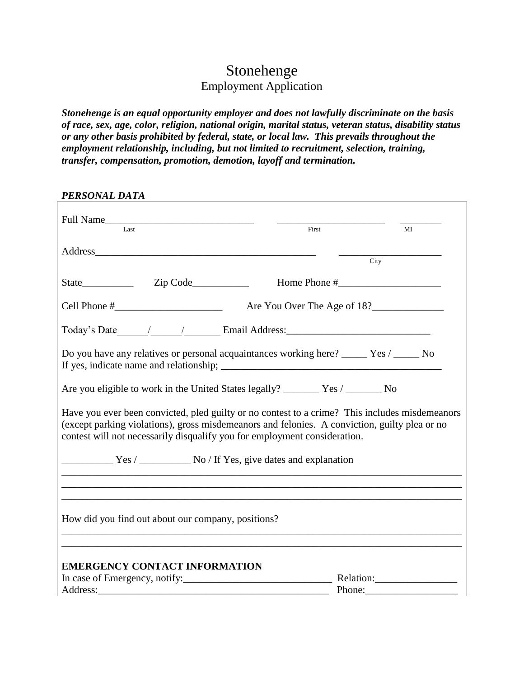# Stonehenge Employment Application

*Stonehenge is an equal opportunity employer and does not lawfully discriminate on the basis of race, sex, age, color, religion, national origin, marital status, veteran status, disability status or any other basis prohibited by federal, state, or local law. This prevails throughout the employment relationship, including, but not limited to recruitment, selection, training, transfer, compensation, promotion, demotion, layoff and termination.*

| PERSONAL DATA                                                                                                                                                                                                                                                                |        |      |
|------------------------------------------------------------------------------------------------------------------------------------------------------------------------------------------------------------------------------------------------------------------------------|--------|------|
| Full Name                                                                                                                                                                                                                                                                    | First  | MI   |
| Address and the contract of the contract of the contract of the contract of the contract of the contract of the contract of the contract of the contract of the contract of the contract of the contract of the contract of th                                               |        | City |
|                                                                                                                                                                                                                                                                              |        |      |
|                                                                                                                                                                                                                                                                              |        |      |
|                                                                                                                                                                                                                                                                              |        |      |
| Do you have any relatives or personal acquaintances working here? _____ Yes / _____ No<br>If yes, indicate name and relationship;                                                                                                                                            |        |      |
| Are you eligible to work in the United States legally? _______ Yes / _______ No                                                                                                                                                                                              |        |      |
| Have you ever been convicted, pled guilty or no contest to a crime? This includes misdemeanors<br>(except parking violations), gross misdemeanors and felonies. A conviction, guilty plea or no<br>contest will not necessarily disqualify you for employment consideration. |        |      |
| Yes / No / If Yes, give dates and explanation                                                                                                                                                                                                                                |        |      |
|                                                                                                                                                                                                                                                                              |        |      |
| How did you find out about our company, positions?                                                                                                                                                                                                                           |        |      |
| <b>EMERGENCY CONTACT INFORMATION</b>                                                                                                                                                                                                                                         |        |      |
|                                                                                                                                                                                                                                                                              |        |      |
| Address:                                                                                                                                                                                                                                                                     | Phone: |      |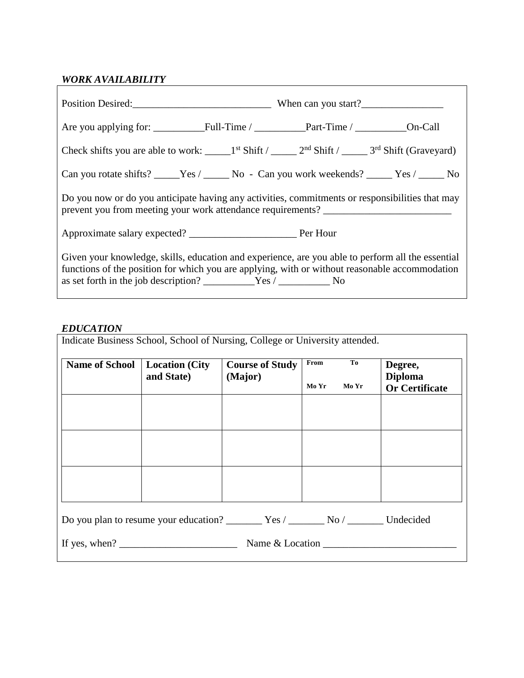### *WORK AVAILABILITY*

| Can you rotate shifts? _____Yes / ______No - Can you work weekends? _____Yes / _____No                                                                                                              |  |  |  |  |
|-----------------------------------------------------------------------------------------------------------------------------------------------------------------------------------------------------|--|--|--|--|
| Do you now or do you anticipate having any activities, commitments or responsibilities that may<br>prevent you from meeting your work attendance requirements? _____________________                |  |  |  |  |
|                                                                                                                                                                                                     |  |  |  |  |
| Given your knowledge, skills, education and experience, are you able to perform all the essential<br>functions of the position for which you are applying, with or without reasonable accommodation |  |  |  |  |

#### *EDUCATION*

|                                                                                         | <b>Location</b> (City<br>and State) | <b>Course of Study</b><br>(Major) | From<br>Mo Yr<br>Mo Yr | Degree,<br><b>Diploma</b><br><b>Or Certificate</b> |
|-----------------------------------------------------------------------------------------|-------------------------------------|-----------------------------------|------------------------|----------------------------------------------------|
| Do you plan to resume your education? __________ Yes / ________ No / ________ Undecided |                                     |                                   |                        |                                                    |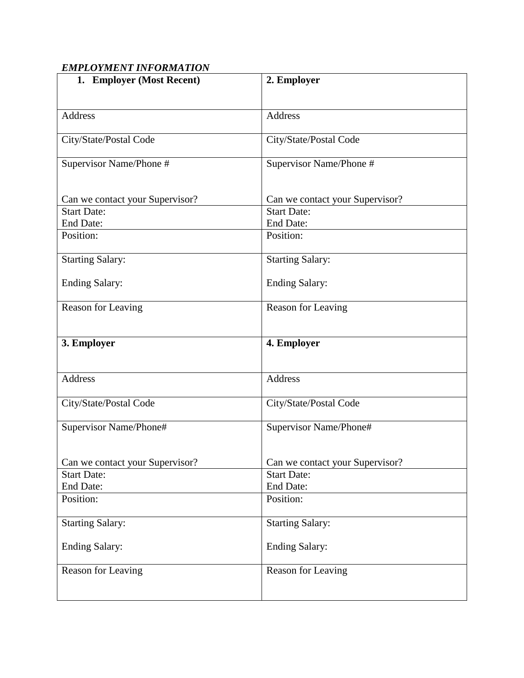## *EMPLOYMENT INFORMATION*

| 1. Employer (Most Recent)                | 2. Employer                     |
|------------------------------------------|---------------------------------|
|                                          |                                 |
| <b>Address</b>                           | Address                         |
|                                          |                                 |
| City/State/Postal Code                   | City/State/Postal Code          |
| Supervisor Name/Phone #                  | Supervisor Name/Phone #         |
|                                          |                                 |
| Can we contact your Supervisor?          | Can we contact your Supervisor? |
| <b>Start Date:</b>                       | <b>Start Date:</b>              |
| <b>End Date:</b>                         | <b>End Date:</b>                |
| Position:                                | Position:                       |
| <b>Starting Salary:</b>                  | <b>Starting Salary:</b>         |
|                                          |                                 |
| <b>Ending Salary:</b>                    | <b>Ending Salary:</b>           |
| Reason for Leaving                       | Reason for Leaving              |
|                                          |                                 |
| 3. Employer                              | 4. Employer                     |
|                                          |                                 |
|                                          |                                 |
| <b>Address</b>                           | Address                         |
| City/State/Postal Code                   | City/State/Postal Code          |
|                                          |                                 |
| Supervisor Name/Phone#                   | Supervisor Name/Phone#          |
|                                          |                                 |
| Can we contact your Supervisor?          | Can we contact your Supervisor? |
|                                          | <b>Start Date:</b>              |
| End Date:                                | <b>End Date:</b>                |
| Position:                                | Position:                       |
|                                          |                                 |
| <b>Starting Salary:</b>                  | <b>Starting Salary:</b>         |
| <b>Ending Salary:</b>                    | <b>Ending Salary:</b>           |
|                                          |                                 |
|                                          |                                 |
|                                          |                                 |
| <b>Start Date:</b><br>Reason for Leaving | Reason for Leaving              |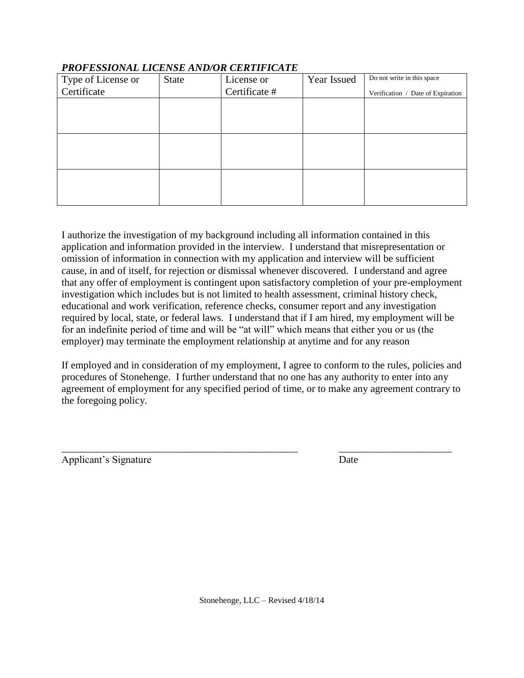| Type of License or | <b>State</b> | License or    | Year Issued | Do not write in this space        |
|--------------------|--------------|---------------|-------------|-----------------------------------|
| Certificate        |              | Certificate # |             | Verification / Date of Expiration |
|                    |              |               |             |                                   |
|                    |              |               |             |                                   |
|                    |              |               |             |                                   |
|                    |              |               |             |                                   |
|                    |              |               |             |                                   |
|                    |              |               |             |                                   |
|                    |              |               |             |                                   |
|                    |              |               |             |                                   |
|                    |              |               |             |                                   |

#### *PROFESSIONAL LICENSE AND/OR CERTIFICATE*

I authorize the investigation of my background including all information contained in this application and information provided in the interview. I understand that misrepresentation or omission of information in connection with my application and interview will be sufficient cause, in and of itself, for rejection or dismissal whenever discovered. I understand and agree that any offer of employment is contingent upon satisfactory completion of your pre-employment investigation which includes but is not limited to health assessment, criminal history check, educational and work verification, reference checks, consumer report and any investigation required by local, state, or federal laws. I understand that if I am hired, my employment will be for an indefinite period of time and will be "at will" which means that either you or us (the employer) may terminate the employment relationship at anytime and for any reason

If employed and in consideration of my employment, I agree to conform to the rules, policies and procedures of Stonehenge. I further understand that no one has any authority to enter into any agreement of employment for any specified period of time, or to make any agreement contrary to the foregoing policy.

\_\_\_\_\_\_\_\_\_\_\_\_\_\_\_\_\_\_\_\_\_\_\_\_\_\_\_\_\_\_\_\_\_\_\_\_\_\_\_\_\_\_\_\_\_\_ \_\_\_\_\_\_\_\_\_\_\_\_\_\_\_\_\_\_\_\_\_\_

Applicant's Signature Date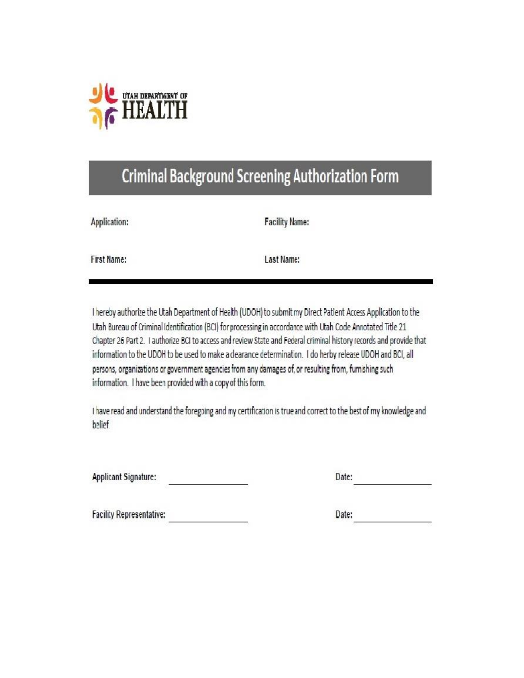

# **Criminal Background Screening Authorization Form**

| Application: |  |
|--------------|--|
|              |  |

**Facility Name:** 

**First Name:** 

Last Name:

I hereby authorize the Utah Department of Health (UDOH) to submit my Direct Patient Access Application to the Utah Bureau of Criminal Identification (BCI) for processing in accordance with Utah Code Annotated Title 21 Chapter 26 Part 2. I authorize BCI to access and review State and Federal criminal history records and provide that information to the UDOH to be used to make a clearance determination. I do herby release UDOH and BCI, all persons, organizations or government agencies from any damages of, or resulting from, furnishing such information. I have been provided with a copy of this form.

I have read and understand the foregoing and my certification is true and correct to the best of my knowledge and belief

**Applicant Signature:** 

| 59 A F<br>٠ |  |  |  |
|-------------|--|--|--|
|             |  |  |  |

**Facility Representative:** 

Date: